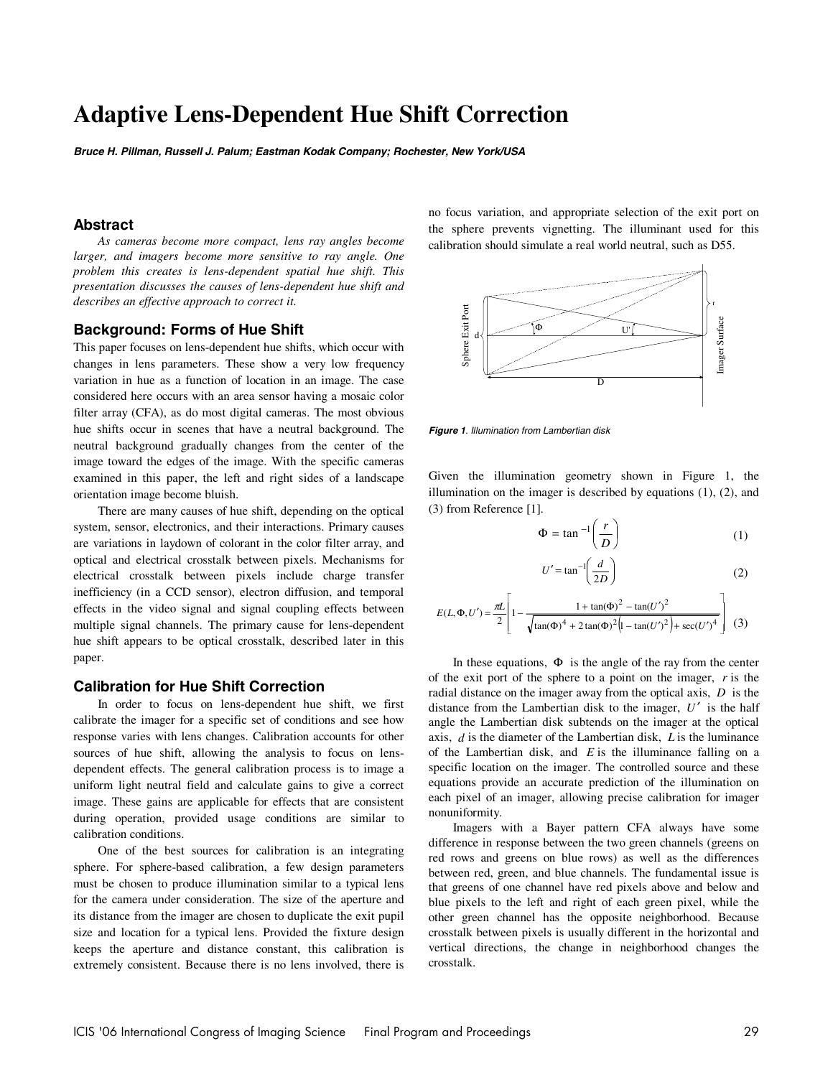# **Adaptive Lens-Dependent Hue Shift Correction**

*Bruce H. Pillman, Russell J. Palum; Eastman Kodak Company; Rochester, New York/USA* 

## **Abstract**

*As cameras become more compact, lens ray angles become larger, and imagers become more sensitive to ray angle. One problem this creates is lens-dependent spatial hue shift. This presentation discusses the causes of lens-dependent hue shift and describes an effective approach to correct it.* 

# **Background: Forms of Hue Shift**

This paper focuses on lens-dependent hue shifts, which occur with changes in lens parameters. These show a very low frequency variation in hue as a function of location in an image. The case considered here occurs with an area sensor having a mosaic color filter array (CFA), as do most digital cameras. The most obvious hue shifts occur in scenes that have a neutral background. The neutral background gradually changes from the center of the image toward the edges of the image. With the specific cameras examined in this paper, the left and right sides of a landscape orientation image become bluish.

There are many causes of hue shift, depending on the optical system, sensor, electronics, and their interactions. Primary causes are variations in laydown of colorant in the color filter array, and optical and electrical crosstalk between pixels. Mechanisms for electrical crosstalk between pixels include charge transfer inefficiency (in a CCD sensor), electron diffusion, and temporal effects in the video signal and signal coupling effects between multiple signal channels. The primary cause for lens-dependent hue shift appears to be optical crosstalk, described later in this paper.

## **Calibration for Hue Shift Correction**

In order to focus on lens-dependent hue shift, we first calibrate the imager for a specific set of conditions and see how response varies with lens changes. Calibration accounts for other sources of hue shift, allowing the analysis to focus on lensdependent effects. The general calibration process is to image a uniform light neutral field and calculate gains to give a correct image. These gains are applicable for effects that are consistent during operation, provided usage conditions are similar to calibration conditions.

One of the best sources for calibration is an integrating sphere. For sphere-based calibration, a few design parameters must be chosen to produce illumination similar to a typical lens for the camera under consideration. The size of the aperture and its distance from the imager are chosen to duplicate the exit pupil size and location for a typical lens. Provided the fixture design keeps the aperture and distance constant, this calibration is extremely consistent. Because there is no lens involved, there is no focus variation, and appropriate selection of the exit port on the sphere prevents vignetting. The illuminant used for this calibration should simulate a real world neutral, such as D55.



*Figure 1. Illumination from Lambertian disk* 

Given the illumination geometry shown in Figure 1, the illumination on the imager is described by equations (1), (2), and (3) from Reference [1].

$$
\Phi = \tan^{-1}\left(\frac{r}{D}\right) \tag{1}
$$

$$
U' = \tan^{-1}\left(\frac{d}{2D}\right) \tag{2}
$$

$$
E(L, \Phi, U') = \frac{\pi L}{2} \left[ 1 - \frac{1 + \tan(\Phi)^2 - \tan(U')^2}{\sqrt{\tan(\Phi)^4 + 2\tan(\Phi)^2 \left(1 - \tan(U')^2\right) + \sec(U')^4}} \right] \tag{3}
$$

In these equations,  $\Phi$  is the angle of the ray from the center of the exit port of the sphere to a point on the imager, *r* is the radial distance on the imager away from the optical axis, *D* is the distance from the Lambertian disk to the imager,  $U'$  is the half angle the Lambertian disk subtends on the imager at the optical axis, *d* is the diameter of the Lambertian disk, *L* is the luminance of the Lambertian disk, and *E* is the illuminance falling on a specific location on the imager. The controlled source and these equations provide an accurate prediction of the illumination on each pixel of an imager, allowing precise calibration for imager nonuniformity.

Imagers with a Bayer pattern CFA always have some difference in response between the two green channels (greens on red rows and greens on blue rows) as well as the differences between red, green, and blue channels. The fundamental issue is that greens of one channel have red pixels above and below and blue pixels to the left and right of each green pixel, while the other green channel has the opposite neighborhood. Because crosstalk between pixels is usually different in the horizontal and vertical directions, the change in neighborhood changes the crosstalk.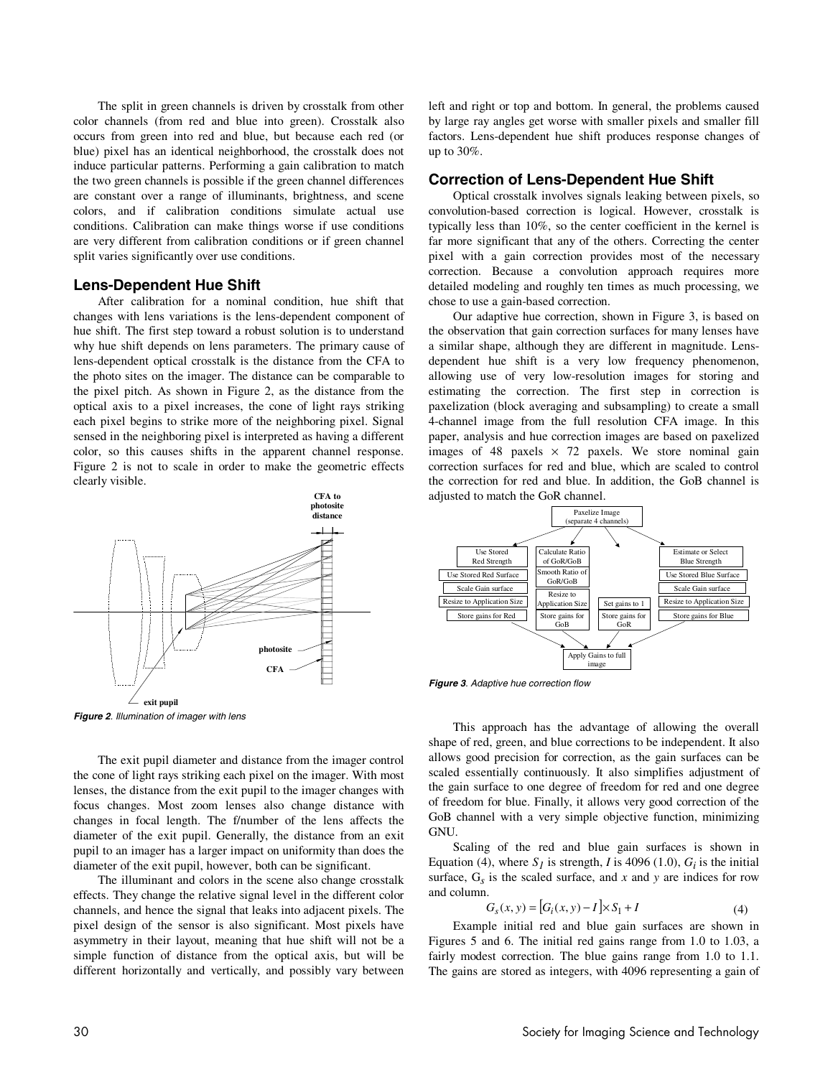The split in green channels is driven by crosstalk from other color channels (from red and blue into green). Crosstalk also occurs from green into red and blue, but because each red (or blue) pixel has an identical neighborhood, the crosstalk does not induce particular patterns. Performing a gain calibration to match the two green channels is possible if the green channel differences are constant over a range of illuminants, brightness, and scene colors, and if calibration conditions simulate actual use conditions. Calibration can make things worse if use conditions are very different from calibration conditions or if green channel split varies significantly over use conditions.

#### **Lens-Dependent Hue Shift**

After calibration for a nominal condition, hue shift that changes with lens variations is the lens-dependent component of hue shift. The first step toward a robust solution is to understand why hue shift depends on lens parameters. The primary cause of lens-dependent optical crosstalk is the distance from the CFA to the photo sites on the imager. The distance can be comparable to the pixel pitch. As shown in Figure 2, as the distance from the optical axis to a pixel increases, the cone of light rays striking each pixel begins to strike more of the neighboring pixel. Signal sensed in the neighboring pixel is interpreted as having a different color, so this causes shifts in the apparent channel response. Figure 2 is not to scale in order to make the geometric effects clearly visible.



*Figure 2. Illumination of imager with lens* 

The exit pupil diameter and distance from the imager control the cone of light rays striking each pixel on the imager. With most lenses, the distance from the exit pupil to the imager changes with focus changes. Most zoom lenses also change distance with changes in focal length. The f/number of the lens affects the diameter of the exit pupil. Generally, the distance from an exit pupil to an imager has a larger impact on uniformity than does the diameter of the exit pupil, however, both can be significant.

The illuminant and colors in the scene also change crosstalk effects. They change the relative signal level in the different color channels, and hence the signal that leaks into adjacent pixels. The pixel design of the sensor is also significant. Most pixels have asymmetry in their layout, meaning that hue shift will not be a simple function of distance from the optical axis, but will be different horizontally and vertically, and possibly vary between left and right or top and bottom. In general, the problems caused by large ray angles get worse with smaller pixels and smaller fill factors. Lens-dependent hue shift produces response changes of up to 30%.

## **Correction of Lens-Dependent Hue Shift**

Optical crosstalk involves signals leaking between pixels, so convolution-based correction is logical. However, crosstalk is typically less than 10%, so the center coefficient in the kernel is far more significant that any of the others. Correcting the center pixel with a gain correction provides most of the necessary correction. Because a convolution approach requires more detailed modeling and roughly ten times as much processing, we chose to use a gain-based correction.

Our adaptive hue correction, shown in Figure 3, is based on the observation that gain correction surfaces for many lenses have a similar shape, although they are different in magnitude. Lensdependent hue shift is a very low frequency phenomenon, allowing use of very low-resolution images for storing and estimating the correction. The first step in correction is paxelization (block averaging and subsampling) to create a small 4-channel image from the full resolution CFA image. In this paper, analysis and hue correction images are based on paxelized images of 48 paxels  $\times$  72 paxels. We store nominal gain correction surfaces for red and blue, which are scaled to control the correction for red and blue. In addition, the GoB channel is adjusted to match the GoR channel.



*Figure 3. Adaptive hue correction flow*

This approach has the advantage of allowing the overall shape of red, green, and blue corrections to be independent. It also allows good precision for correction, as the gain surfaces can be scaled essentially continuously. It also simplifies adjustment of the gain surface to one degree of freedom for red and one degree of freedom for blue. Finally, it allows very good correction of the GoB channel with a very simple objective function, minimizing GNU.

Scaling of the red and blue gain surfaces is shown in Equation (4), where  $S_I$  is strength, *I* is 4096 (1.0),  $G_i$  is the initial surface,  $G_s$  is the scaled surface, and x and y are indices for row and column.

$$
G_s(x, y) = [G_i(x, y) - I] \times S_1 + I
$$
 (4)

Example initial red and blue gain surfaces are shown in Figures 5 and 6. The initial red gains range from 1.0 to 1.03, a fairly modest correction. The blue gains range from 1.0 to 1.1. The gains are stored as integers, with 4096 representing a gain of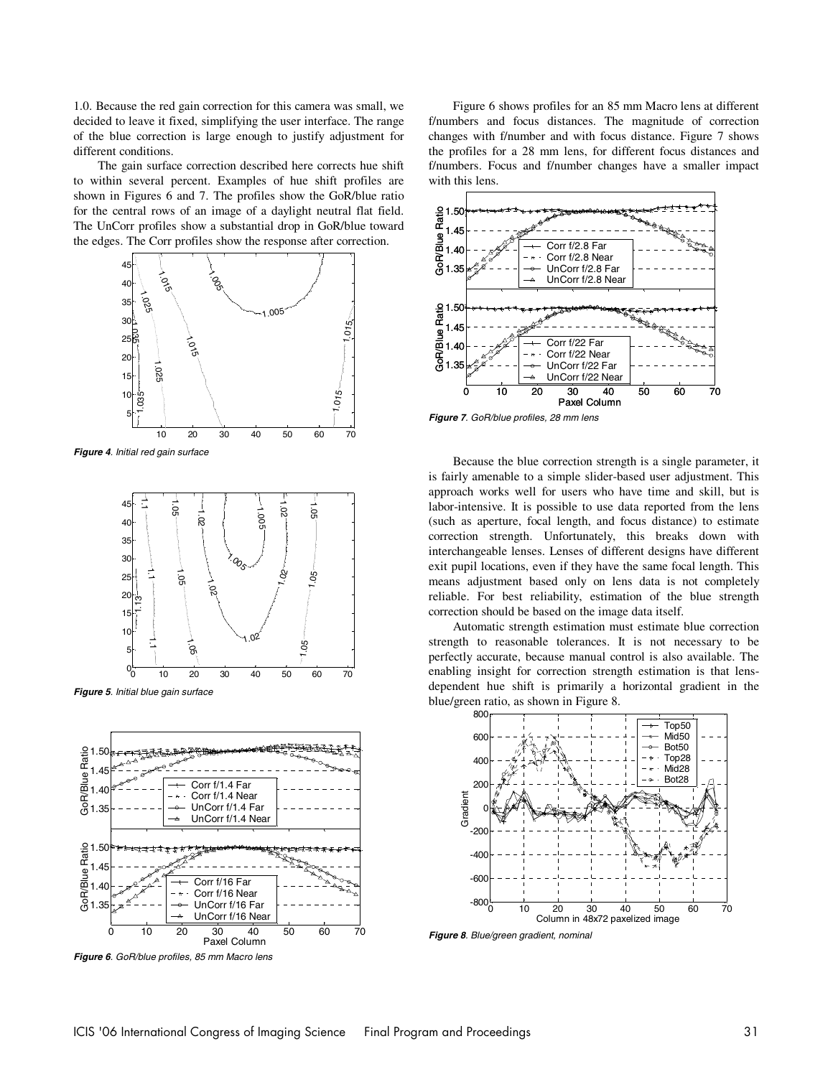1.0. Because the red gain correction for this camera was small, we decided to leave it fixed, simplifying the user interface. The range of the blue correction is large enough to justify adjustment for different conditions.

The gain surface correction described here corrects hue shift to within several percent. Examples of hue shift profiles are shown in Figures 6 and 7. The profiles show the GoR/blue ratio for the central rows of an image of a daylight neutral flat field. The UnCorr profiles show a substantial drop in GoR/blue toward the edges. The Corr profiles show the response after correction.



*Figure 4. Initial red gain surface*



*Figure 5. Initial blue gain surface* 



*Figure 6. GoR/blue profiles, 85 mm Macro lens* 

Figure 6 shows profiles for an 85 mm Macro lens at different f/numbers and focus distances. The magnitude of correction changes with f/number and with focus distance. Figure 7 shows the profiles for a 28 mm lens, for different focus distances and f/numbers. Focus and f/number changes have a smaller impact with this lens.



*Figure 7. GoR/blue profiles, 28 mm lens* 

Because the blue correction strength is a single parameter, it is fairly amenable to a simple slider-based user adjustment. This approach works well for users who have time and skill, but is labor-intensive. It is possible to use data reported from the lens (such as aperture, focal length, and focus distance) to estimate correction strength. Unfortunately, this breaks down with interchangeable lenses. Lenses of different designs have different exit pupil locations, even if they have the same focal length. This means adjustment based only on lens data is not completely reliable. For best reliability, estimation of the blue strength correction should be based on the image data itself.

Automatic strength estimation must estimate blue correction strength to reasonable tolerances. It is not necessary to be perfectly accurate, because manual control is also available. The enabling insight for correction strength estimation is that lensdependent hue shift is primarily a horizontal gradient in the blue/green ratio, as shown in Figure 8.



*Figure 8. Blue/green gradient, nominal*